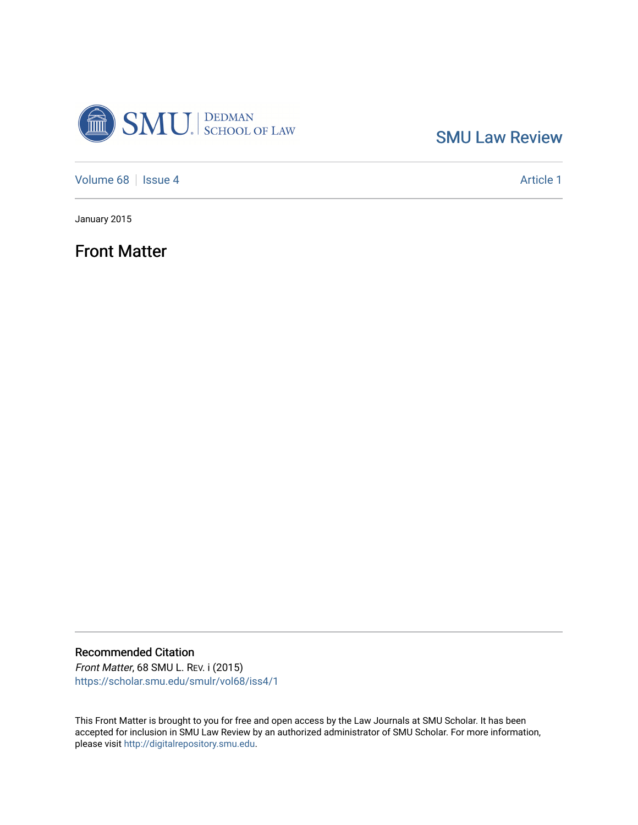

[SMU Law Review](https://scholar.smu.edu/smulr) 

[Volume 68](https://scholar.smu.edu/smulr/vol68) | [Issue 4](https://scholar.smu.edu/smulr/vol68/iss4) Article 1

January 2015

Front Matter

Recommended Citation Front Matter, 68 SMU L. REV. i (2015)

[https://scholar.smu.edu/smulr/vol68/iss4/1](https://scholar.smu.edu/smulr/vol68/iss4/1?utm_source=scholar.smu.edu%2Fsmulr%2Fvol68%2Fiss4%2F1&utm_medium=PDF&utm_campaign=PDFCoverPages) 

This Front Matter is brought to you for free and open access by the Law Journals at SMU Scholar. It has been accepted for inclusion in SMU Law Review by an authorized administrator of SMU Scholar. For more information, please visit [http://digitalrepository.smu.edu.](http://digitalrepository.smu.edu/)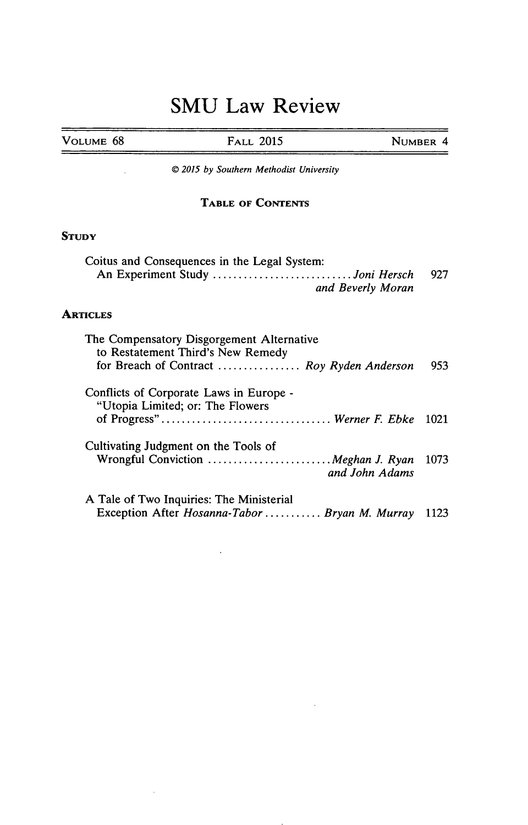# **SMU Law Review**

| VOLUME 68 |  |
|-----------|--|

**VOLUME 68 FALL 2015 NUMBER** 4

*© 2015 by Southern Methodist University*

# **TABLE OF CONTENTS**

## **STUDY**

| Coitus and Consequences in the Legal System: |  |
|----------------------------------------------|--|
| An Experiment Study Joni Hersch 927          |  |
| and Beverly Moran                            |  |

# **ARTICLES**

 $\bar{z}$ 

| The Compensatory Disgorgement Alternative<br>to Restatement Third's New Remedy |        |
|--------------------------------------------------------------------------------|--------|
| for Breach of Contract  Roy Ryden Anderson                                     | 953    |
| Conflicts of Corporate Laws in Europe -<br>"Utopia Limited; or: The Flowers    |        |
|                                                                                | - 1021 |
| Cultivating Judgment on the Tools of                                           |        |
| Wrongful Conviction  Meghan J. Ryan 1073<br>and John Adams                     |        |
| A Tale of Two Inquiries: The Ministerial                                       |        |
| Exception After Hosanna-Tabor  Bryan M. Murray                                 | 1123   |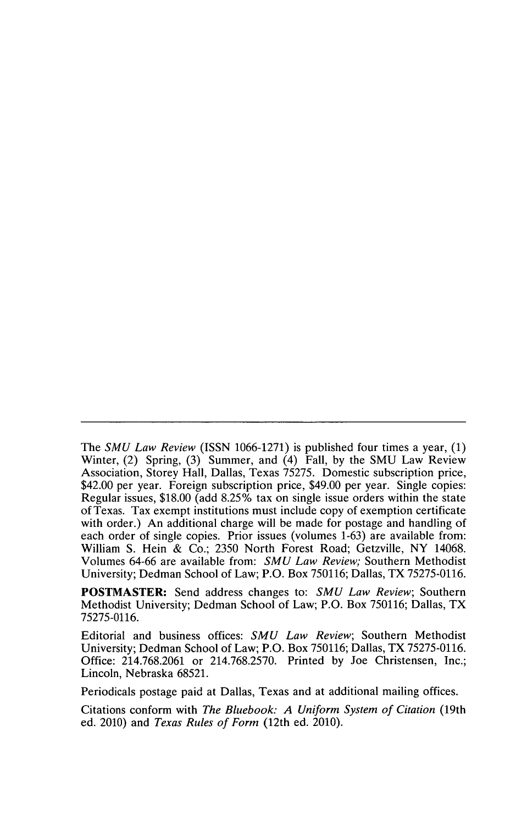The *SMU Law Review* (ISSN 1066-1271) is published four times a year, (1) Winter, (2) Spring, (3) Summer, and (4) Fall, by the SMU Law Review Association, Storey Hall, Dallas, Texas 75275. Domestic subscription price, \$42.00 per year. Foreign subscription price, \$49.00 per year. Single copies: Regular issues, \$18.00 (add 8.25% tax on single issue orders within the state of Texas. Tax exempt institutions must include copy of exemption certificate with order.) An additional charge will be made for postage and handling of each order of single copies. Prior issues (volumes 1-63) are available from: William S. Hein & Co.; 2350 North Forest Road; Getzville, NY 14068. Volumes 64-66 are available from: *SMU Law Review;* Southern Methodist University; Dedman School of Law; P.O. Box 750116; Dallas, TX 75275-0116.

POSTMASTER: Send address changes to: *SMU Law Review;* Southern Methodist University; Dedman School of Law; P.O. Box 750116; Dallas, TX 75275-0116.

Editorial and business offices: *SMU Law Review;* Southern Methodist University; Dedman School of Law; P.O. Box 750116; Dallas, TX 75275-0116. Office: 214.768.2061 or 214.768.2570. Printed by Joe Christensen, Inc.; Lincoln, Nebraska 68521.

Periodicals postage paid at Dallas, Texas and at additional mailing offices.

Citations conform with *The Bluebook: A Uniform System of Citation* (19th ed. 2010) and *Texas Rules of Form* (12th ed. 2010).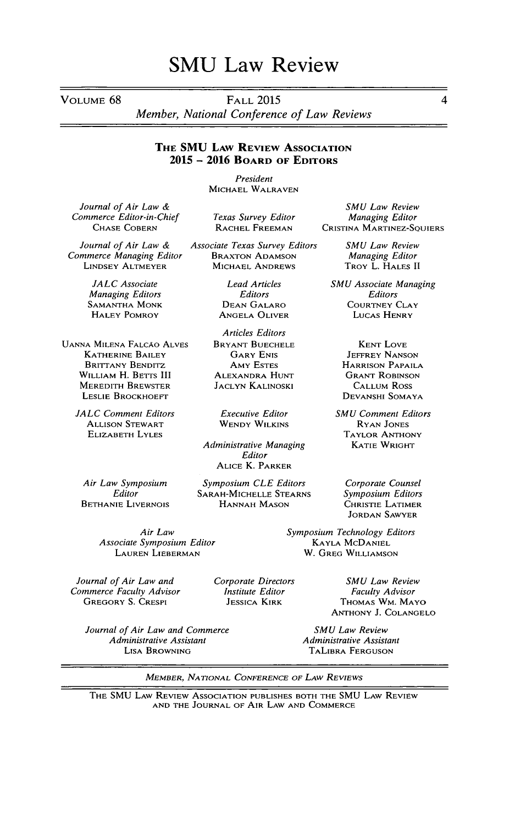# **SMU** Law Review

VOLUME 68 FALL 2015

*Member, National Conference of Law Reviews*

#### **THE SMU LAW REVIEw ASSOCIATION 2015 - 2016 BOARD OF EDITORS**

*President* MICHAEL WALRAVEN

*Texas Survey Editor* RACHEL FREEMAN

*Journal of Air Law & Commerce Editor-in-Chief* CHASE COBERN

*Journal of Air Law & Commerce Managing Editor* LINDSEY ALTMEYER

> *JALC Associate Managing Editors* SAMANTHA MONK HALEY POMROY

UANNA MILENA FALCAO ALVES KATHERINE BAILEY BRITTANY BENDITZ WILLIAM H. BETTS III MEREDITH BREWSTER LESLIE BROCKHOEFT

> *JALC Comment Editors* ALLISON STEWART ELIZABETH LYLES

*Air Law Symposium Editor* BETHANIE LIVERNOIS

> *Air Law Associate Symposium Editor* **LAUREN** LIEBERMAN

*Journal of Air Law and Commerce Faculty Advisor* GREGORY S. CRESPI

> *Journal of Air Law and Commerce Administrative Assistant* LISA BROWNING

JACLYN KALINOSKI

WENDY WILKINS

*Editor* ALICE K. PARKER

*Symposium CLE Editors* SARAH-MICHELLE STEARNS HANNAH MASON

*SMU Law Review Managing Editor* CRISTINA MARTINEZ-SQUIERS

> *SMU Law Review Managing Editor* TROY L. HALES II

*SMU Associate Managing Editors* COURTNEY CLAY LUCAS HENRY

> KENT LOVE JEFFREY NANSON HARRISON PAPAILA GRANT ROBINSON CALLUM Ross DEVANSHI SOMAYA

*SMU Comment Editors* RYAN JONES TAYLOR ANTHONY KATIE WRIGHT

*Corporate Counsel Symposium Editors* CHRISTIE LATIMER JORDAN SAWYER

*Symposium Technology Editors* KAYLA MCDANIEL W. GREG WILLIAMSON

> *SMU Law Review Faculty Advisor* THOMAS WM. MAYO ANTHONY J. COLANGELO

*SMU Law Review Administrative Assistant* TALIBRA FERGUSON

MEMBER, *NATIONAL CONFERENCE OF LAW REVIEWS*

THE SMU LAW REVIEW ASSOCIATION PUBLISHES BOTH THE SMU LAW REVIEW AND **THE** JOURNAL OF AIR LAW AND COMMERCE

*Corporate Directors Institute Editor* JESSICA KIRK

*Associate Texas Survey Editors* BRAXTON ADAMSON MICHAEL ANDREWS *Lead Articles*

*Editors* DEAN GALARO ANGELA OLIVER

*Articles Editors* BRYANT BUECHELE GARY ENIS AMY ESTES ALEXANDRA HUNT

*Administrative Managing*

*Executive Editor*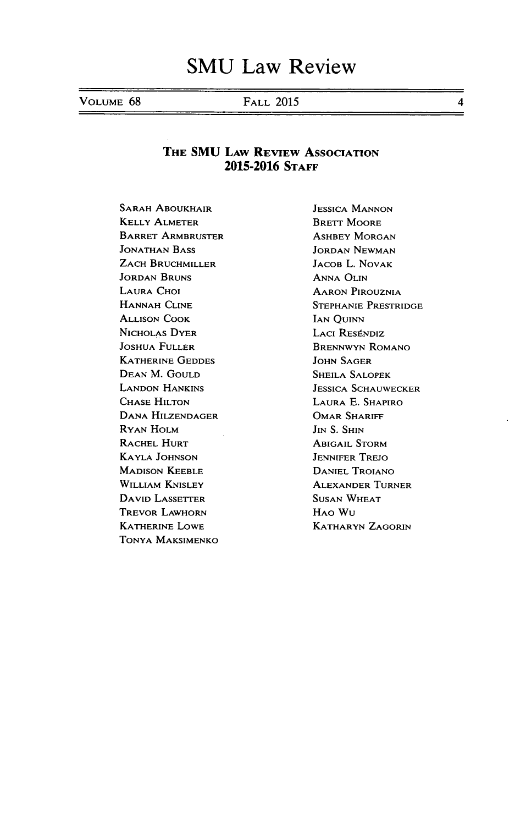VOLUME 68 FALL 2015 4

## THE **SMU** LAW REVIEW ASSOCIATION **2015-2016 STAFF**

SARAH ABOUKHAIR KELLY ALMETER BARRET ARMBRUSTER **JONATHAN** BASS ZACH BRUCHMILLER JORDAN BRUNS LAURA CHOI HANNAH CLINE ALLISON COOK NICHOLAS DYER JOSHUA FULLER KATHERINE GEDDES DEAN M. GOULD LANDON HANKINS CHASE HILTON DANA HILZENDAGER RYAN HOLM RACHEL HURT KAYLA JOHNSON MADISON KEEBLE WILLIAM KNISLEY DAVID LASSETTER TREVOR LAWHORN KATHERINE LOWE TONYA MAKSIMENKO

JESSICA MANNON BRETT MOORE ASHBEY MORGAN JORDAN NEWMAN JACOB L. **NOVAK** ANNA OLIN AARON PIROUZNIA STEPHANIE PRESTRIDGE IAN QUINN LACI RESÉNDIZ BRENNWYN ROMANO JOHN SAGER SHEILA SALOPEK JESSICA SCHAUWECKER LAURA **E.** SHAPIRO OMAR SHARIFF  $J<sub>IN</sub>$  S. S<sub>HIN</sub> ABIGAIL STORM JENNIFER TREJO DANIEL TROIANO ALEXANDER TURNER SUSAN WHEAT HAO WU KATHARYN ZAGORIN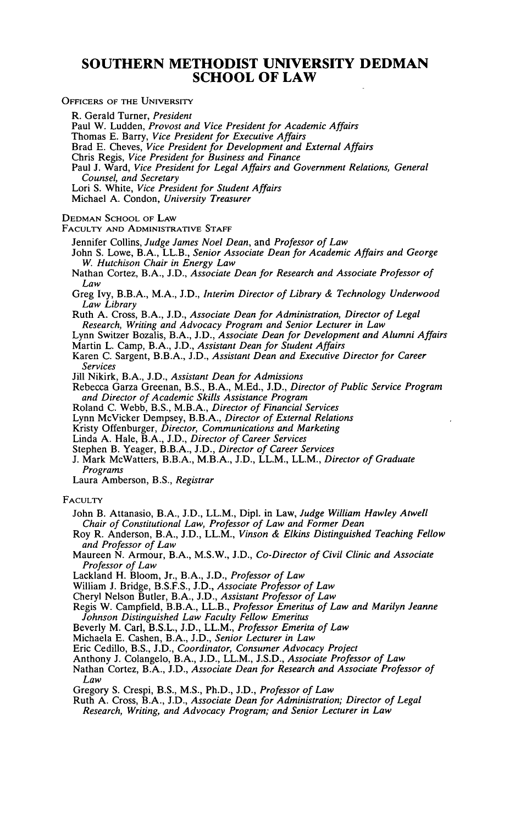## **SOUTHERN METHODIST UNIVERSITY DEDMAN SCHOOL OF LAW**

OFFICERS OF THE UNIVERSITY

R. Gerald Turner, *President* Paul W. Ludden, *Provost and Vice President for Academic Affairs* Thomas E. Barry, *Vice President for Executive Affairs* Brad E. Cheves, *Vice President for Development and External Affairs* Chris Regis, *Vice President for Business and Finance* Paul J. Ward, *Vice President for Legal Affairs and Government Relations, General Counsel, and Secretary* Lori S. White, *Vice President for Student Affairs* Michael A. Condon, *University Treasurer* **DEDMAN SCHOOL OF LAW FACULTY AND** ADMINISTRATIVE STAFF Jennifer Collins, *Judge James Noel Dean,* and *Professor of Law* John S. Lowe, B.A., LL.B., *Senior Associate Dean for Academic Affairs and George W. Hutchison Chair in Energy Law* Nathan Cortez, B.A., J.D., *Associate Dean for Research and Associate Professor of Law* Greg Ivy, B.B.A., M.A., J.D., *Interim Director of Library & Technology Underwood Law Library* Ruth A. Cross, B.A., **J.D.,** *Associate Dean for Administration, Director of Legal Research, Writing and Advocacy Program and Senior Lecturer in Law* Lynn Switzer Bozalis, B.A., **J.D.,** *Associate Dean for Development and Alumni Affairs* Martin L. Camp, B.A., J.D., *Assistant Dean for Student Affairs* Karen C. Sargent, B.B.A., **J.D.,** *Assistant Dean and Executive Director for Career Services* Jill Nikirk, B.A., **J.D.,** *Assistant Dean for Admissions* Rebecca Garza Greenan, B.S., B.A., M.Ed., **J.D.,** *Director of Public Service Program and Director of Academic Skills Assistance Program* Roland C. Webb, B.S., M.B.A., *Director of Financial Services* Lynn McVicker Dempsey, B.B.A., *Director of External Relations* Kristy Offenburger, *Director, Communications and Marketing* Linda A. Hale, B.A., J.D., *Director of Career Services* Stephen B. Yeager, B.B.A., **J.D.,** *Director of Career Services* J. Mark McWatters, B.B.A., M.B.A., J.D., LL.M., LL.M., *Director of Graduate Programs* Laura Amberson, B.S., *Registrar* **FACULTY** John B. Attanasio, B.A., J.D., LL.M., Dipl. in Law, *Judge William Hawley Atwell Chair of Constitutional Law, Professor of Law and Former Dean* Roy R. Anderson, B.A., J.D., LL.M., *Vinson & Elkins Distinguished Teaching Fellow and Professor of Law* Maureen N. Armour, B.A., M.S.W., J.D., *Co-Director of Civil Clinic and Associate Professor of Law* Lackland H. Bloom, Jr., B.A., J.D., *Professor of Law* William **J.** Bridge, B.S.F.S., J.D., *Associate Professor of Law* Cheryl Nelson Butler, B.A., **J.D.,** *Assistant Professor of Law* Regis W. Campfield, B.B.A., LL.B., *Professor Emeritus of Law and Marilyn Jeanne Johnson Distinguished Law Faculty Fellow Emeritus* Beverly M. Carl, B.S.L., J.D., LL.M., *Professor Emerita of Law* Michaela E. Cashen, B.A., J.D., *Senior Lecturer in Law* Eric Cedillo, B.S., J.D., *Coordinator, Consumer Advocacy Project* Anthony J. Colangelo, B.A., J.D., LL.M., J.S.D., *Associate Professor of Law*

Nathan Cortez, B.A., J.D., *Associate Dean for Research and Associate Professor of Law*

Gregory S. Crespi, B.S., M.S., Ph.D., J.D., *Professor of Law*

Ruth A. Cross, B.A., J.D., *Associate Dean for Administration; Director of Legal Research, Writing, and Advocacy Program; and Senior Lecturer in Law*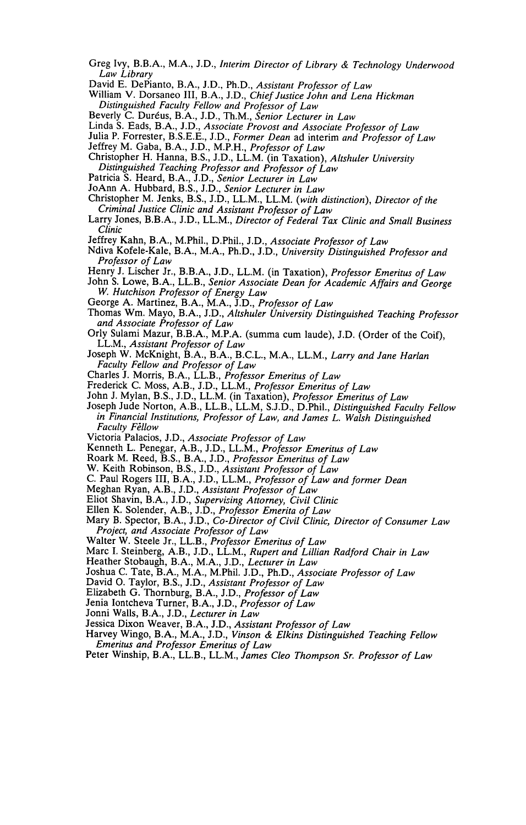- Greg Ivy, B.B.A., M.A., J.D., *Interim Director of Library & Technology Underwood Law Library*
- David E. DePianto, B.A., J.D., Ph.D., *Assistant Professor of Law*
- William V. Dorsaneo III, B.A., J.D., *Chief Justice John and Lena Hickman Distinguished Faculty Fellow and Professor of Law*
- Beverly C. Duréus, B.A., J.D., Th.M., *Senior Lecturer in Law*

Linda S. Eads, B.A., J.D., *Associate Provost and Associate Professor of Law*

- Julia P. Forrester, B.S.E.E., J.D., *Former Dean* ad interim *and Professor of Law*
- Jeffrey M. Gaba, B.A., J.D., M.P.H., *Professor of Law*
- Christopher H. Hanna, B.S., J.D., LL.M. (in Taxation), *Altshuler University Distinguished Teaching Professor and Professor of Law*
- Patricia S. Heard, B.A., J.D., *Senior Lecturer in Law*
- JoAnn A. Hubbard, B.S., J.D., *Senior Lecturer in Law*
- Christopher M. Jenks, B.S., J.D., LL.M., LL.M. *(with distinction), Director of the Criminal Justice Clinic and Assistant Professor of Law*
- Larry Jones, B.B.A., J.D., LL.M., *Director of Federal Tax Clinic and Small Business Clinic*
- Jeffrey Kahn, B.A., M.Phil., D.Phil., J.D., *Associate Professor of Law*
- Ndiva Kofele-Kale, B.A., M.A., Ph.D., J.D., *University Distinguished Professor and Professor of Law*
- Henry J. Lischer Jr., B.B.A., J.D., LL.M. (in Taxation), *Professor Emeritus of Law* John S. Lowe, B.A., LL.B., *Senior Associate Dean for Academic Affairs and George W. Hutchison Professor of Energy Law*
- George A. Martinez, B.A., M.A., J.D., *Professor of Law*
- Thomas Wm. Mayo, B.A., J.D., *Altshuler University Distinguished Teaching Professor and Associate Professor of Law*
- Orly Sulami Mazur, B.B.A., M.P.A. (summa cum laude), J.D. (Order of the Coif), LL.M., *Assistant Professor of Law*
- Joseph W. McKnight, B.A., B.A., B.C.L., M.A., LL.M., *Larry and Jane Harlan Faculty Fellow and Professor of Law*
- Charles J. Morris, B.A., LL.B., *Professor Emeritus of Law*
- Frederick C. Moss, A.B., J.D., LL.M., *Professor Emeritus of Law*
- John J. Mylan, B.S., J.D., LL.M. (in Taxation), *Professor Emeritus of Law*
- Joseph Jude Norton, A.B., LL.B., LL.M, S.J.D., D.Phil., *Distinguished Faculty Fellow in Financial Institutions, Professor of Law, and James L. Walsh Distinguished* **Faculty Fellow**
- Victoria Palacios, J.D., *Associate Professor of Law*
- Kenneth L. Penegar, A.B., J.D., LL.M., *Professor Emeritus of Law*
- Roark M. Reed, B.S., B.A., J.D., *Professor Emeritus of Law*
- W. Keith Robinson, B.S., J.D., *Assistant Professor of Law*
- C. Paul Rogers III, B.A., J.D., LL.M., *Professor of Law and former Dean*
- Meghan Ryan, A.B., J.D., *Assistant Professor of Law*
- Eliot Shavin, B.A., J.D., *Supervising Attorney, Civil Clinic*
- Ellen K. Solender, A.B., J.D., *Professor Emerita of Law*
- Mary B. Spector, B.A., J.D., *Co-Director of Civil Clinic, Director of Consumer Law Project, and Associate Professor of Law*
- Walter W. Steele Jr., LL.B., *Professor Emeritus of Law*
- Marc I. Steinberg, A.B., J.D., LL.M., *Rupert and Lillian Radford Chair in Law*
- Heather Stobaugh, B.A., M.A., J.D., *Lecturer in Law*
- Joshua C. Tate, B.A., M.A., M.Phil. J.D., Ph.D., *Associate Professor of Law*
- David **0.** Taylor, B.S., J.D., *Assistant Professor of Law*
- Elizabeth G. Thornburg, B.A., J.D., *Professor of Law*
- Jenia Iontcheva Turner, B.A., J.D., *Professor of Law*
- Jonni Walls, B.A., J.D., *Lecturer in Law*
- Jessica Dixon Weaver, B.A., J.D., *Assistant Professor of Law*
- Harvey Wingo, B.A., M.A., J.D., *Vinson & Elkins Distinguished Teaching Fellow Emeritus and Professor Emeritus of Law*
- Peter Winship, B.A., LL.B., LL.M., *James Cleo Thompson Sr. Professor of Law*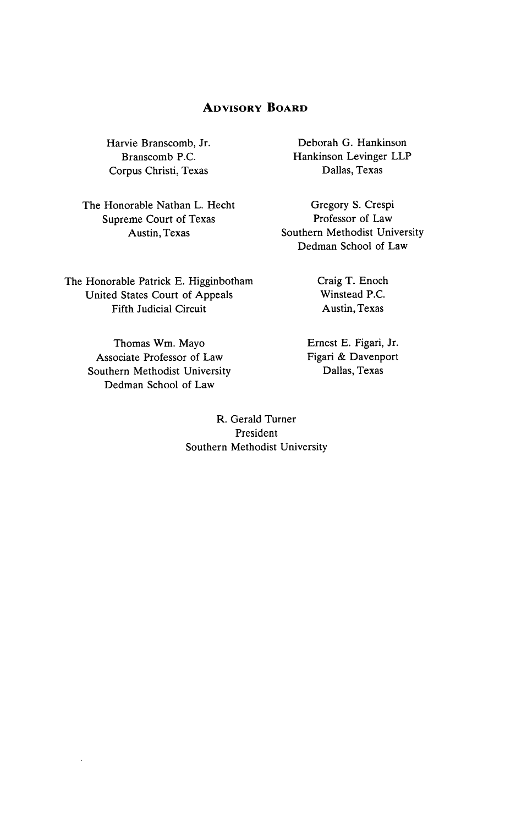# **ADVISORY BOARD**

Harvie Branscomb, Jr. Branscomb P.C. Corpus Christi, Texas

The Honorable Nathan L. Hecht Supreme Court of Texas Austin, Texas

The Honorable Patrick E. Higginbotham United States Court of Appeals Fifth Judicial Circuit

> Thomas Wm. Mayo Associate Professor of Law Southern Methodist University Dedman School of Law

Deborah G. Hankinson Hankinson Levinger LLP Dallas, Texas

Gregory S. Crespi Professor of Law Southern Methodist University Dedman School of Law

> Craig T. Enoch Winstead P.C. Austin, Texas

Ernest E. Figari, Jr. Figari & Davenport Dallas, Texas

R. Gerald Turner President Southern Methodist University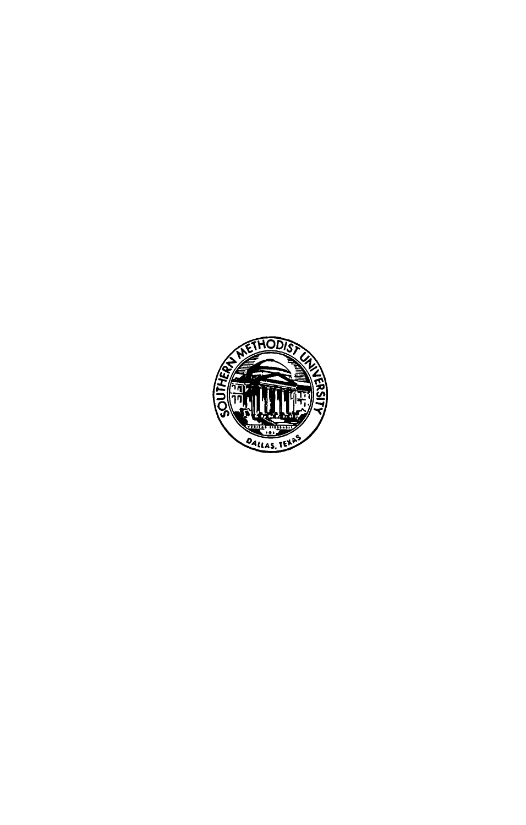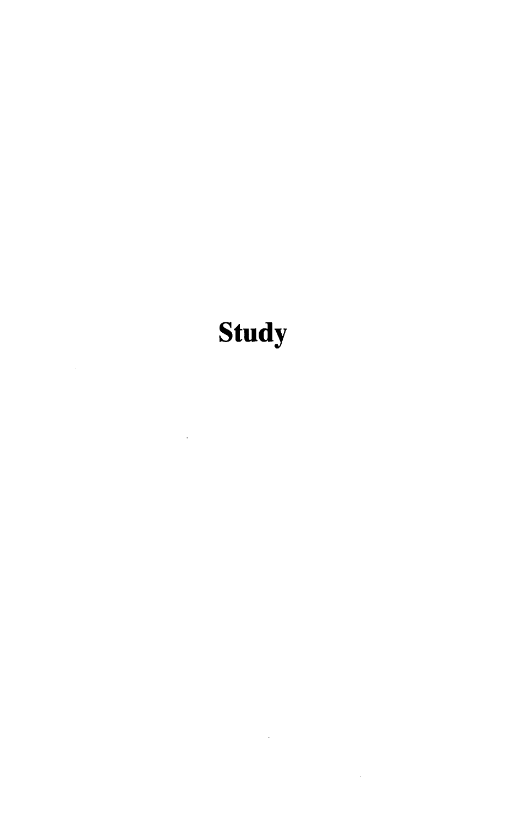# **Study**

 $\sim$   $\sim$ 

 $\bar{z}$ 

 $\mathcal{L}^{\text{max}}_{\text{max}}$  and  $\mathcal{L}^{\text{max}}_{\text{max}}$